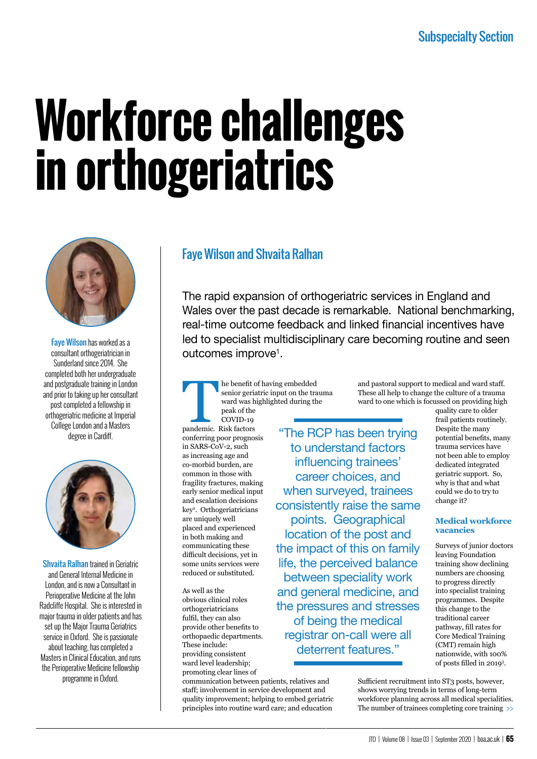# **Workforce challenges in orthogeriatrics**



Faye Wilson has worked as a consultant orthogeriatrician in Sunderland since 2014. She completed both her undergraduate and postgraduate training in London and prior to taking up her consultant post completed a fellowship in orthogeriatric medicine at Imperial College London and a Masters degree in Cardiff.



Shvaita Ralhan trained in Geriatric and General Internal Medicine in London, and is now a Consultant in Perioperative Medicine at the John Radcliffe Hospital. She is interested in major trauma in older patients and has set up the Major Trauma Geriatrics service in Oxford. She is passionate about teaching, has completed a Masters in Clinical Education, and runs the Perioperative Medicine fellowship programme in Oxford.

### Faye Wilson and Shvaita Ralhan

The rapid expansion of orthogeriatric services in England and Wales over the past decade is remarkable. National benchmarking, real-time outcome feedback and linked financial incentives have led to specialist multidisciplinary care becoming routine and seen outcomes improve<sup>1</sup>.

The benefit of having embedded<br>
senior geriatric input on the tra<br>
ward was highlighted during th<br>
peak of the<br>
COVID-19<br>
pandemic. Risk factors<br>
"The R senior geriatric input on the trauma ward was highlighted during the peak of the COVID-19 pandemic. Risk factors conferring poor prognosis in SARS-CoV-2, such as increasing age and co-morbid burden, are common in those with fragility fractures, making early senior medical input and escalation decisions key2 . Orthogeriatricians are uniquely well placed and experienced in both making and communicating these difficult decisions, yet in some units services were reduced or substituted.

As well as the obvious clinical roles orthogeriatricians fulfil, they can also provide other benefits to orthopaedic departments. These include: providing consistent ward level leadership; promoting clear lines of

communication between patients, relatives and staff; involvement in service development and quality improvement; helping to embed geriatric principles into routine ward care; and education

"The RCP has been trying to understand factors influencing trainees' career choices, and when surveyed, trainees consistently raise the same points. Geographical location of the post and the impact of this on family life, the perceived balance between speciality work and general medicine, and the pressures and stresses of being the medical registrar on-call were all deterrent features."

and pastoral support to medical and ward staff. These all help to change the culture of a trauma ward to one which is focussed on providing high

quality care to older frail patients routinely. Despite the many potential benefits, many trauma services have not been able to employ dedicated integrated geriatric support. So, why is that and what could we do to try to change it?

#### **Medical workforce vacancies**

Surveys of junior doctors leaving Foundation training show declining numbers are choosing to progress directly into specialist training programmes. Despite this change to the traditional career pathway, fill rates for Core Medical Training (CMT) remain high nationwide, with 100% of posts filled in 2019<sup>3</sup> .

Sufficient recruitment into ST3 posts, however, shows worrying trends in terms of long-term workforce planning across all medical specialities. The number of trainees completing core training >>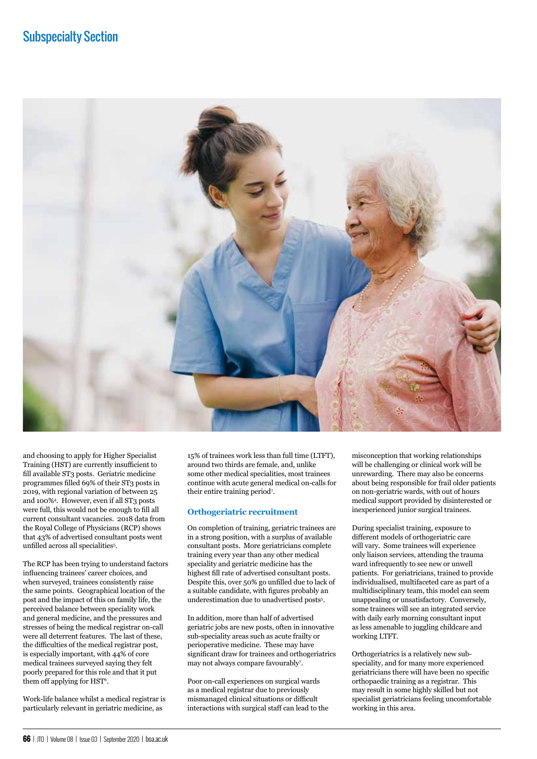

and choosing to apply for Higher Specialist Training (HST) are currently insufficient to fill available ST3 posts. Geriatric medicine programmes filled 69% of their ST3 posts in 2019, with regional variation of between 25 and 100%4 . However, even if all ST3 posts were full, this would not be enough to fill all current consultant vacancies. 2018 data from the Royal College of Physicians (RCP) shows that 43% of advertised consultant posts went unfilled across all specialities<sup>5</sup>.

The RCP has been trying to understand factors influencing trainees' career choices, and when surveyed, trainees consistently raise the same points. Geographical location of the post and the impact of this on family life, the perceived balance between speciality work and general medicine, and the pressures and stresses of being the medical registrar on-call were all deterrent features. The last of these, the difficulties of the medical registrar post, is especially important, with 44% of core medical trainees surveyed saying they felt poorly prepared for this role and that it put them off applying for HST<sup>6</sup>.

Work-life balance whilst a medical registrar is particularly relevant in geriatric medicine, as

15% of trainees work less than full time (LTFT), around two thirds are female, and, unlike some other medical specialities, most trainees continue with acute general medical on-calls for their entire training period<sup>7</sup>.

#### **Orthogeriatric recruitment**

On completion of training, geriatric trainees are in a strong position, with a surplus of available consultant posts. More geriatricians complete training every year than any other medical speciality and geriatric medicine has the highest fill rate of advertised consultant posts. Despite this, over 50% go unfilled due to lack of a suitable candidate, with figures probably an underestimation due to unadvertised posts<sup>5</sup>.

In addition, more than half of advertised geriatric jobs are new posts, often in innovative sub-speciality areas such as acute frailty or perioperative medicine. These may have significant draw for trainees and orthogeriatrics may not always compare favourably7 .

Poor on-call experiences on surgical wards as a medical registrar due to previously mismanaged clinical situations or difficult interactions with surgical staff can lead to the

misconception that working relationships will be challenging or clinical work will be unrewarding. There may also be concerns about being responsible for frail older patients on non-geriatric wards, with out of hours medical support provided by disinterested or inexperienced junior surgical trainees.

During specialist training, exposure to different models of orthogeriatric care will vary. Some trainees will experience only liaison services, attending the trauma ward infrequently to see new or unwell patients. For geriatricians, trained to provide individualised, multifaceted care as part of a multidisciplinary team, this model can seem unappealing or unsatisfactory. Conversely, some trainees will see an integrated service with daily early morning consultant input as less amenable to juggling childcare and working LTFT.

Orthogeriatrics is a relatively new subspeciality, and for many more experienced geriatricians there will have been no specific orthopaedic training as a registrar. This may result in some highly skilled but not specialist geriatricians feeling uncomfortable working in this area.